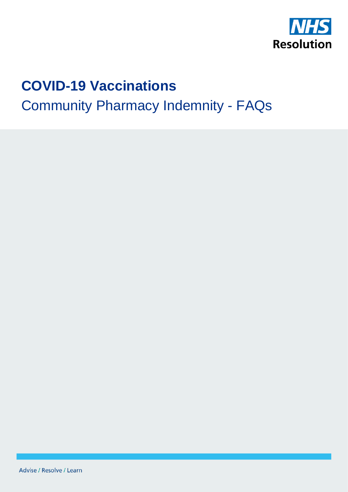

1

# **COVID-19 Vaccinations** Community Pharmacy Indemnity - FAQs

Advise / Resolve / Learn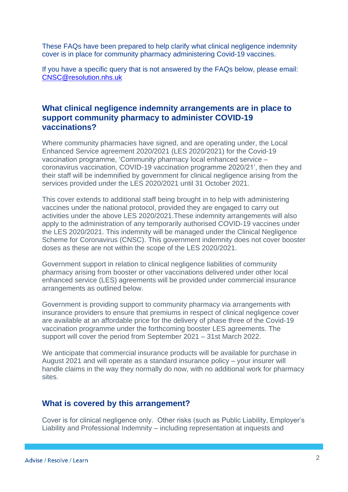These FAQs have been prepared to help clarify what clinical negligence indemnity cover is in place for community pharmacy administering Covid-19 vaccines.

If you have a specific query that is not answered by the FAQs below, please email: [CNSC@resolution.nhs.uk](mailto:CNSC@resolution.nhs.uk)

## **What clinical negligence indemnity arrangements are in place to support community pharmacy to administer COVID-19 vaccinations?**

Where community pharmacies have signed, and are operating under, the Local Enhanced Service agreement 2020/2021 (LES 2020/2021) for the Covid-19 vaccination programme, 'Community pharmacy local enhanced service – coronavirus vaccination, COVID-19 vaccination programme 2020/21', then they and their staff will be indemnified by government for clinical negligence arising from the services provided under the LES 2020/2021 until 31 October 2021.

This cover extends to additional staff being brought in to help with administering vaccines under the national protocol, provided they are engaged to carry out activities under the above LES 2020/2021.These indemnity arrangements will also apply to the administration of any temporarily authorised COVID-19 vaccines under the LES 2020/2021. This indemnity will be managed under the Clinical Negligence Scheme for Coronavirus (CNSC). This government indemnity does not cover booster doses as these are not within the scope of the LES 2020/2021.

Government support in relation to clinical negligence liabilities of community pharmacy arising from booster or other vaccinations delivered under other local enhanced service (LES) agreements will be provided under commercial insurance arrangements as outlined below.

Government is providing support to community pharmacy via arrangements with insurance providers to ensure that premiums in respect of clinical negligence cover are available at an affordable price for the delivery of phase three of the Covid-19 vaccination programme under the forthcoming booster LES agreements. The support will cover the period from September 2021 – 31st March 2022.

We anticipate that commercial insurance products will be available for purchase in August 2021 and will operate as a standard insurance policy – your insurer will handle claims in the way they normally do now, with no additional work for pharmacy sites.

#### **What is covered by this arrangement?**

Cover is for clinical negligence only. Other risks (such as Public Liability, Employer's Liability and Professional Indemnity – including representation at inquests and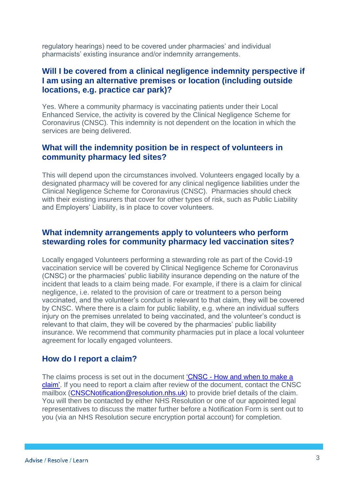regulatory hearings) need to be covered under pharmacies' and individual pharmacists' existing insurance and/or indemnity arrangements.

# **Will I be covered from a clinical negligence indemnity perspective if I am using an alternative premises or location (including outside locations, e.g. practice car park)?**

Yes. Where a community pharmacy is vaccinating patients under their Local Enhanced Service, the activity is covered by the Clinical Negligence Scheme for Coronavirus (CNSC). This indemnity is not dependent on the location in which the services are being delivered.

## **What will the indemnity position be in respect of volunteers in community pharmacy led sites?**

This will depend upon the circumstances involved. Volunteers engaged locally by a designated pharmacy will be covered for any clinical negligence liabilities under the Clinical Negligence Scheme for Coronavirus (CNSC). Pharmacies should check with their existing insurers that cover for other types of risk, such as Public Liability and Employers' Liability, is in place to cover volunteers.

#### **What indemnity arrangements apply to volunteers who perform stewarding roles for community pharmacy led vaccination sites?**

Locally engaged Volunteers performing a stewarding role as part of the Covid-19 vaccination service will be covered by Clinical Negligence Scheme for Coronavirus (CNSC) or the pharmacies' public liability insurance depending on the nature of the incident that leads to a claim being made. For example, if there is a claim for clinical negligence, i.e. related to the provision of care or treatment to a person being vaccinated, and the volunteer's conduct is relevant to that claim, they will be covered by CNSC. Where there is a claim for public liability, e.g. where an individual suffers injury on the premises unrelated to being vaccinated, and the volunteer's conduct is relevant to that claim, they will be covered by the pharmacies' public liability insurance. We recommend that community pharmacies put in place a local volunteer agreement for locally engaged volunteers.

## **How do I report a claim?**

The claims process is set out in the document 'CNSC - [How and when to make a](https://resolution.nhs.uk/scheme-documents/when-and-how-to-report-a-claim-clinical-negligence-scheme-for-coronavirus-cnsc-reporting-guidelines/)  [claim'.](https://resolution.nhs.uk/scheme-documents/when-and-how-to-report-a-claim-clinical-negligence-scheme-for-coronavirus-cnsc-reporting-guidelines/) If you need to report a claim after review of the document, contact the CNSC mailbox [\(CNSCNotification@resolution.nhs.uk\)](mailto:CNSCNotification@resolution.nhs.uk) to provide brief details of the claim. You will then be contacted by either NHS Resolution or one of our appointed legal representatives to discuss the matter further before a Notification Form is sent out to you (via an NHS Resolution secure encryption portal account) for completion.